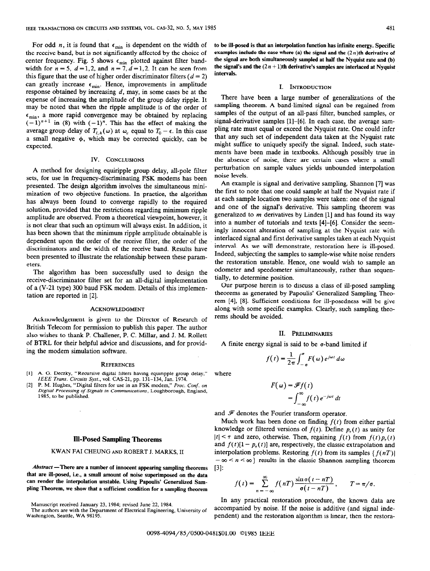For odd n, it is found that  $\epsilon_{\min}$  is dependent on the width of to be ill-posed is that an interpolation function has infinite energy. Specific the receive band, but is not significantly affected by the choice of examples include the case where (a) the signal and the  $(2n)$ th derivative of center frequency. Fig. 5 shows  $\epsilon$ , plotted against filter band. The sign center frequency. Fig. 5 shows  $\epsilon_{\min}$  plotted against filter band- the signal are both simultaneously sampled at half the Nyquist rate and (b)<br>width for  $n = 5$ ,  $d = 1, 2$ , and  $n = 7$ ,  $d = 1, 2$ . It can be seen from the width for  $n = 5$ ,  $d = 1, 2$ , and  $n = 7, d = 1, 2$ . It can be seen from the signal this figure that the use of higher order discriminator filters ( $d = 2$ ) can greatly increase  $\epsilon_{min}$ . Hence, improvements in amplitude response obtained by increasing  $d$ , may, in some cases be at the expense of increasing the amplitude of the group delay ripple. It There have been a large number of generalizations of the may be noted that when the ripple amplitude is of the order of sampling theorem. A band-limited sig may be noted that when the ripple amplitude is of the order of  $\epsilon_{\min}$ , a more rapid convergence may be obtained by replacing  $\left(-1\right)^{n+1}$  in (8) with  $(-1)^n$ . This has the effect of making the signal-derivative samples [1]-[6]. In each case, the average samaverage group delay of  $T_{i, h}(\omega)$  at  $\omega_c$  equal to  $T_0 - \epsilon$ . In this case pling rate must equal or exceed the Nyquist rate. One could infer a small negative  $\phi$  which may be corrected quickly can be that any such set o a small negative  $\phi$ , which may be corrected quickly, can be expected. The signal suffice to uniquely specify the signal. Indeed, such state-

sets, for use in frequency-discriminating FSK modems has been noise levels.<br>negative sampling. Shannon [7] was presented. The design algorithm involves the simultaneous mini-<br>mini-<br>mini-<br>the first to note that one could sample at half the Nyquist rate if mization of two objective functions. In practice, the algorithm the first to note that one could sample at half the Nyquist rate if has always been found to converge rapidly to the required at each sample location two samples were taken: one of the signal<br>solution provided that the restrictions regarding minimum ringles and one of the signal's derivati solution, provided that the restrictions regarding minimum ripple and one of the signal's derivative. This sampling theorem was<br>applitude are observed. From a theoretical viewpoint however is generalized to m derivatives b amplitude are observed. From a theoretical viewpoint, however, it generalized to m derivatives by Linden [1] and has found its way<br>is not clear that such an optimum will always exist In addition  $\frac{1}{2}$  into a number of is not clear that such an optimum will always exist. In addition, it into a number of tutorials and texts  $[4]$ - $[6]$ . Consider the seem-<br>has been shown that the minimum ringle amplitude obtainable is ingly innocent alter has been shown that the minimum ripple amplitude obtainable is ingly innocent alteration of sampling at the Nyquist rate with the order of the interlaced signal and first derivative samples taken at each Nyquist dependent upon the order of the receive filter, the order of the interval. As we will demonstrate, restoration here is ill-posed. discriminators and the width of the receive band. Results have interval. As we will demonstrate, restoration here is ill-posed.<br>Indeed, subjecting the samples to sample-wise white noise renders been presented to illustrate the relationship between these param-

The algorithm has been successfully used to design the  $\alpha$  coometer and speedometer simultaneously, to determine position. receive-discriminator filter set for an all-digital implementation tially, to determine position.<br>Our purpose herein is to discuss a class of ill-posed sampling<br>of a (V-21 time) 300 band ESK modern Details of this implemen of a (V-21 type) 300 baud FSK modem. Details of this implementation are reported in [2]. theorems as generated by Papoulis' Generalized Sampling Theo-

Acknowledgement is given to the Director of Research of rems should be avoided. British Telecom for permission to publish this paper. The author also wishes to thank P. Challener, P. C. Millar, and J. M. Rollett II. PRELIMINARIES of BTRL for their helpful advice and discussions, and for provid- A finite energy signal is said to be  $\sigma$ -band limited if ing the modem simulation software.

### **REFERENCES**

- [l] A. G. Deczky, "Recursive digital filters having equiripple group delay," where IEEE Trans. Circuits Syst., vol. CAS-21, pp. 131-134, Jan. 1974.
- P. M. Hughes, "Digital filters for use in an FSK modem," Proc. Conf. on Digital Processing of Signals in Communications, Loughborough, England, 1985, to be published.

 $Abstract$  -There are a number of innocent appearing sampling theorems [3]: that are ill-posed, i.e., a small amount of noise superimposed on the data can render the interpolation unstable. Using Papoulis' Generalized Sampling Theorem, we show that a sufficient condition for a sampling theorem

Manuscript received January 23, 1984; revised June 22, 1984.

### I. INTRODUCTION

samples of the output of an all-pass filter, bunched samples, or ments have been made in textbooks. Although possibly true in IV. CONCLUSIONS the absence of noise, there are certain cases where a small A method for designing equiripple group delay, all-pole filter perturbation on sample values yields unbounded interpolation

eters.<br>The algorithm has been successfully used to design the design the dometer and speedometer simultaneously, rather than sequen-<br>The algorithm has been successfully used to design the dometer and speedometer simultaneo

rem [4], [8]. Sufficient conditions for ill-posedness will be give ACKNOWLEDGMENT along with some specific examples. Clearly, such sampling theo-

$$
f(t) = \frac{1}{2\pi} \int_{-\sigma}^{\sigma} F(\omega) e^{j\omega t} d\omega
$$

$$
F(\omega) = \mathscr{F}f(t)
$$
  
= 
$$
\int_{-\infty}^{\infty} f(t) e^{-j\omega t} dt
$$

and  $\mathcal F$  denotes the Fourier transform operator.

Much work has been done on finding  $f(t)$  from either partial knowledge or filtered versions of  $f(t)$ . Define  $p_{\tau}(t)$  as unity for Ill-Posed Sampling Theorems  $|t| < \tau$  and zero, otherwise. Then, regaining  $f(t)$  from  $f(t)p_{\tau}(t)$ and  $f(t)[1 - p<sub>\tau</sub>(t)]$  are, respectively, the classic extrapolation and KWAN FAI CHEUNG AND ROBERT J. MARKS, II interpolation problems. Restoring  $f(t)$  from its samples  $\{f(nT)\}$  $-\infty < n < \infty$  results in the classic Shannon sampling theorem

$$
f(t) = \sum_{n = -\infty}^{\infty} f(nT) \frac{\sin \sigma(t - nT)}{\sigma(t - nT)}, \qquad T = \pi/\sigma.
$$

In any practical restoration procedure, the known data are The authors are with the Department of Electrical Engineering, University of accompanied by noise. If the noise is additive (and signal inde-<br>Washington, Seattle, WA 98195. pendent) and the restoration algorithm is linear, then the restora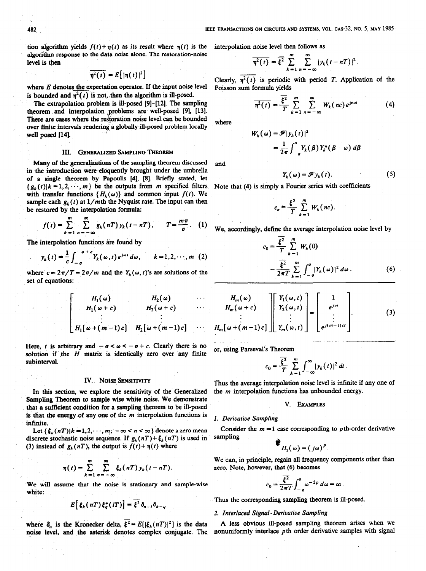tion algorithm yields  $f(t)+\eta(t)$  as its result where  $\eta(t)$  is the interpolation noise level then follows as algorithm response to the data noise alone. The restoration-noise level is then values of  $\eta^*(t) = \xi^* \sum_i |y_k(t-nT)|$ 

 $\sqrt{\eta^2(t)} = E[|\eta(t)|^2]$ 

where  $E$  denotes the expectation operator. If the input noise level is bounded and  $\eta^2(t)$  is not, then the algorithm is ill-posed.

The extrapolation problem is ill-posed [9]-[12]. The sampling theorem and interpolation problems are well-posed [9], [13]. There are cases where the restoration noise level can be bounded over finite intervals rendering a globally ill-posed problem'locally well posed [14].

## III. GENERALIZED SAMPLING THEOREM

Many of the generalizations of the sampling theorem discussed in the introduction were eloquently brought under the umbrella of a single theorem by Papoulis [4], [8]. Briefly stated, let  $\{g_k(t)|k=1,2,\cdots,m\}$  be the outputs from *m* specified filters with transfer functions  $\{H_k(\omega)\}\$  and common input  $f(t)$ . We sample each  $g_k(t)$  at  $1/m$ th the Nyquist rate. The input can then be restored by the interpolation formula:

$$
f(t) = \sum_{k=1}^{m} \sum_{n=-\infty}^{\infty} g_k(nT) y_k(t-nT), \qquad T = \frac{m\pi}{\sigma}.
$$
 (1)

The interpolation functions are found by

$$
y_k(t) = \frac{1}{c} \int_{-\sigma}^{-\sigma + c} Y_k(\omega, t) e^{j\omega t} d\omega, \qquad k = 1, 2, \cdots, m \tag{2}
$$

where  $c = 2\pi/T = 2\sigma/m$  and the  $Y_k(\omega, t)$ 's are solutions of the set of equations:

$$
H_1(\omega) \qquad H_2(\omega) \qquad \cdots
$$
  
\n
$$
H_1(\omega + c) \qquad H_2(\omega + c) \qquad \cdots
$$
  
\n
$$
\vdots \qquad \vdots
$$
  
\n
$$
H_1[\omega + (m-1)c] \qquad H_2[\omega + (m-1)c] \qquad \cdots
$$

Here, t is arbitrary and  $-\sigma < \omega < -\sigma + c$ . Clearly there is no solution if the  $H$  matrix is identically zero over any finite subinterval.

In this section, we explore the sensitivity of the Generalized the  $m$  interpolation functions has unbounded energy. Sampling Theorem to sample wise white noise. We demonstrate that a sufficient condition for a sampling theorem to be ill-posed V. EXAMPLES is that the energy of any one of the m interpolation functions is  $1.$  Derivative Sampling infinite.

discrete stochastic noise sequence. If  $g_k(nT) + \xi_k(nT)$  is used in (3) instead of  $g_k(nT)$ , the output is  $f(t) + \eta(t)$  where

$$
\eta(t) = \sum_{k=1}^{m} \sum_{n=-\infty}^{\infty} \xi_k(nT) y_k(t - nT).
$$
 we can, in principle, rega  
zero. Note, however, that

We will assume that the noise is stationary and sample-wise  $c_0 = \frac{5}{2\pi T} \int_{-\sigma}^{\infty} \omega^{-2p} d\omega = \omega$ .

$$
E\left[\xi_k(\mathit{n}T)\xi_q^*(\mathit{l}T)\right]=\overline{\xi^2}\,\delta_{n-1}\delta_{k-q}
$$

where  $\delta_n$  is the Kronecker delta,  $\bar{\xi}^2 = E[|\xi_k(nT)|^2]$  is the data A less obvious ill-posed sampling theorem arises when we noise level, and the asterisk denotes complex conjugate. The nonuniformly interlace pth order noise level, and the asterisk denotes complex conjugate. The

$$
\overline{\eta^2(t)} = \overline{\xi^2} \sum_{k=1}^m \sum_{n=-\infty}^{\infty} |y_k(t-nT)|^2.
$$

Clearly,  $\overline{\eta^2(t)}$  is periodic with period T. Application of the Poisson sum formula yields

$$
\overline{\eta^2(t)} = \frac{\overline{\xi^2}}{T} \sum_{k=1}^m \sum_{n=-\infty}^{\infty} W_k(nc) e^{jnct}
$$
 (4)

where

$$
W_k(\omega) = \mathscr{F}|y_k(t)|^2
$$
  
=  $\frac{1}{2\pi} \int_{-\sigma}^{\sigma} Y_k(\beta) Y_k^*(\beta - \omega) d\beta$ 

$$
Y_k(\omega) = \mathscr{F} y_k(t). \tag{5}
$$

Note that (4) is simply a Fourier series with coefficients

$$
c_n = \frac{\overline{\xi^2}}{T} \sum_{k=1}^m W_k(nc).
$$

We, accordingly, define the average interpolation noise level by

$$
c_0 = \frac{\xi^2}{T} \sum_{k=1}^{m} W_k(0)
$$
  
= 
$$
\frac{\overline{\xi^2}}{2\pi T} \sum_{k=1}^{m} \int_{-\sigma}^{\sigma} |Y_k(\omega)|^2 d\omega.
$$
 (6)

$$
\begin{bmatrix}\nH_m(\omega) \\
H_m(\omega+c) \\
\vdots \\
H_m[\omega+(m-1)c]\n\end{bmatrix}\n\begin{bmatrix}\nY_1(\omega,t) \\
Y_2(\omega,t) \\
\vdots \\
Y_m(\omega,t)\n\end{bmatrix} =\n\begin{bmatrix}\n1 \\
e^{jct} \\
\vdots \\
e^{j(m-1)ct}\n\end{bmatrix}.
$$
\n(3)

or, using Parseval's Theorem '

$$
c_0 = \frac{\overline{\xi^2}}{T} \sum_{k=1}^m \int_{-\infty}^\infty |y_k(t)|^2 dt.
$$

IV. NOISE SENSITIVITY Thus the average interpolation noise level is infinite if any one of

Let  $\{\xi_k(nT)|k=1,2,\dots,m; -\infty < n < \infty\}$  denote a zero mean Consider the  $m=1$  case corresponding to pth-order derivative screte stochastic noise sequence. If  $\sigma_k(nT) + \xi_k(nT)$  is used in sampling

$$
H_1(\omega) = (j\omega)^p
$$

We can, in principle, regain all frequency components other than zero. Note, however, that (6) becomes

$$
c_0 = \frac{\overline{\xi^2}}{2\pi T} \int_{-\sigma}^{\sigma} \omega^{-2p} d\omega = \infty.
$$

Thus the corresponding sampling theorem is ill-posed.

### 2. Interlaced Signal- Derivative Sampling

and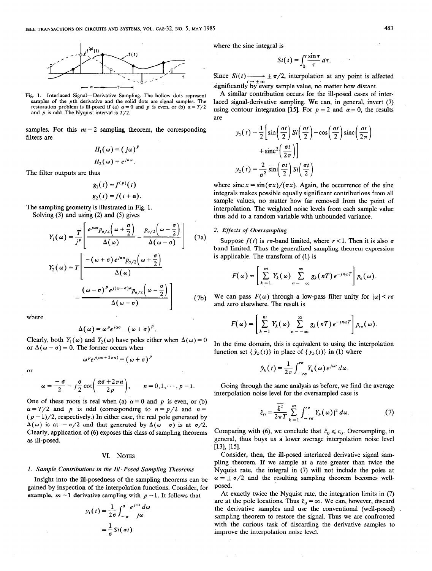

Fig. 1. Interlaced Signal-Derivative Sampling. The hollow dots represent samples of the pth derivative and the solid dots are signal samples. The restoration problem is ill-posed if (a)  $\alpha = 0$  and p is even, or (b)  $\alpha = T/2$ and  $p$  is odd. The Nyquist interval is  $T/2$ .

samples. For this  $m = 2$  sampling theorem, the corresponding filters are

$$
H_1(\omega) = (j\omega)^p
$$
  

$$
H_2(\omega) = e^{j\alpha\omega}.
$$

The filter outputs are thus

$$
g_1(t) = f^{(p)}(t)
$$
  

$$
g_2(t) = f(t + \alpha)
$$

The sampling geometry is illustrated in Fig. 1. Solving (3) and using (2) and (5) gives

$$
Y_1(\omega) = \frac{T}{j^p} \left[ \frac{e^{j\alpha\sigma} p_{\sigma/2}(\omega + \frac{\sigma}{2})}{\Delta(\omega)} - \frac{p_{\sigma/2}(\omega - \frac{\sigma}{2})}{\Delta(\omega - \sigma)} \right]
$$
(7a)  

$$
Y_2(\omega) = T \left[ \frac{-(\omega + \sigma) e^{j\alpha\sigma} p_{\sigma/2}(\omega + \frac{\sigma}{2})}{\Delta(\omega)} - \frac{(\omega - \sigma)^p e^{j(\omega - \sigma)\alpha} p_{\sigma/2}(\omega - \frac{\sigma}{2})}{\Delta(\omega - \sigma)} \right]
$$
(7b)

where

$$
\Delta(\omega) = \omega^p e^{j\alpha\sigma} - (\omega + \sigma)^p.
$$

Clearly, both  $Y_1(\omega)$  and  $Y_2(\omega)$  have poles either when  $\Delta(\omega) = 0$ or  $\Delta(\omega - \sigma) = 0$ . The former occurs when

$$
\omega^{p}e^{j(\alpha\sigma+2\pi n)} = (\omega+\sigma)^{p}
$$

or

$$
\omega = \frac{-\sigma}{2} - j\frac{\sigma}{2}\cot\left(\frac{\alpha\sigma + 2\pi n}{2p}\right), \qquad n = 0, 1, \cdots, p-1.
$$

One of these roots is real when (a)  $\alpha = 0$  and p is even, or (b)  $\alpha = T/2$  and p is odd (corresponding to  $n = p/2$  and  $n =$  $(p-1)/2$ , respectively.) In either case, the real pole generated by  $\Delta(\omega)$  is at  $-\sigma/2$  and that generated by  $\Delta(\omega - \sigma)$  is at  $\sigma/2$ . Clearly, application of (6) exposes this class of sampling theorems as ill-posed.

### VI. NOTES

### I. Sample Contributions in the III- Posed Sampling Theorems

Insight into the ill-posedness of the sampling theorems can be gained by inspection of the interpolation functions. Consider, for example,  $m = 1$  derivative sampling with  $p = 1$ . It follows that

$$
y_1(t) = \frac{1}{2\sigma} \int_{-\sigma}^{\sigma} \frac{e^{j\omega t} d\omega}{j\omega}
$$

$$
= \frac{1}{\sigma} Si(\sigma t)
$$

where the sine integral is

$$
Si(t) = \int_0^t \frac{\sin \tau}{\tau} d\tau.
$$

Since  $Si(t) \longrightarrow \pm \pi/2$ , interpolation at any point is affected  $\pm \infty$ significantly by every sample value, no matter how distant.

A similar contribution occurs for the ill-posed cases of interlaced signal-derivative sampling. We can, in general, invert (7) using contour integration [15]. For  $p = 2$  and  $\alpha = 0$ , the results are

$$
y_1(t) = \frac{1}{2} \left[ \sin\left(\frac{\sigma t}{2}\right) S i\left(\frac{\sigma t}{2}\right) + \cos\left(\frac{\sigma t}{2}\right) \text{sinc}\left(\frac{\sigma t}{2\pi}\right) + \text{sinc}^2 \left(\frac{\sigma t}{2\pi}\right) \right]
$$

$$
y_2(t) = \frac{2}{\sigma^2} \sin\left(\frac{\sigma t}{2}\right) S i\left(\frac{\sigma t}{2}\right)
$$

where  $\sin(x) = \frac{\sin(\pi x)}{(\pi x)}$ . Again, the occurrence of the sine integrals makes possible equally significant contributions from all sample values, no matter how far removed from the point of interpolation. The weighted noise levels from each sample value thus add to a random variable with unbounded variance.

# 2. Effects of Oversampling

Suppose  $f(t)$  is ro-band limited, where  $r < 1$ . Then it is also o band limited. Thus the generalized sampling theorem expression is applicable. The transform of (1) is

$$
F(\omega) = \left[ \sum_{k=1}^{m} Y_k(\omega) \sum_{n=-\infty}^{\infty} g_k(nT) e^{-jn\omega T} \right] p_o(\omega).
$$

We can pass  $F(\omega)$  through a low-pass filter unity for  $|\omega| < r\sigma$ and zero elsewhere. The result is

$$
F(\omega) = \left[ \sum_{k=1}^{m} Y_k(\omega) \sum_{n=-\infty}^{\infty} g_k(nT) e^{-jn\omega T} \right] p_{ro}(\omega).
$$

In the time domain, this is equivalent to using the interpolation function set  $\{\hat{\nu}_{k}(t)\}\)$  in place of  $\{\nu_{k}(t)\}\$ in (1) where

$$
\hat{y}_k(t) = \frac{1}{2\pi} \int_{-r\sigma}^{r\sigma} Y_k(\omega) e^{j\omega t} d\omega.
$$

Going through the same analysis as before, we find the average interpolation noise level for the oversampled case is

$$
\hat{c}_0 = \frac{\overline{\xi^2}}{2\pi T} \sum_{k=1}^m \int_{-\infty}^{\infty} |Y_k(\omega)|^2 d\omega.
$$
 (7)

Comparing with (6), we conclude that  $\hat{c}_0 \leq c_0$ . Oversampling, in general, thus buys us a lower average interpolation noise level  $[13]$ ,  $[15]$ .

Consider, then, the ill-posed interlaced derivative signal sampling theorem. If we sample at a rate greater than twice the Nyquist rate, the integral in (7) will not include the poles at  $\omega = \pm \sigma/2$  and the resulting sampling theorem becomes wellposed.

At exactly twice the Nyquist rate, the integration limits in (7) are at the pole locations. Thus  $\hat{c}_0 = \infty$ . We can, however, discard the derivative samples and use the conventional (well-posed) sampling theorem to restore the signal. Thus we are confronted with the curious task of discarding the derivative samples to improve the interpolation noise level.